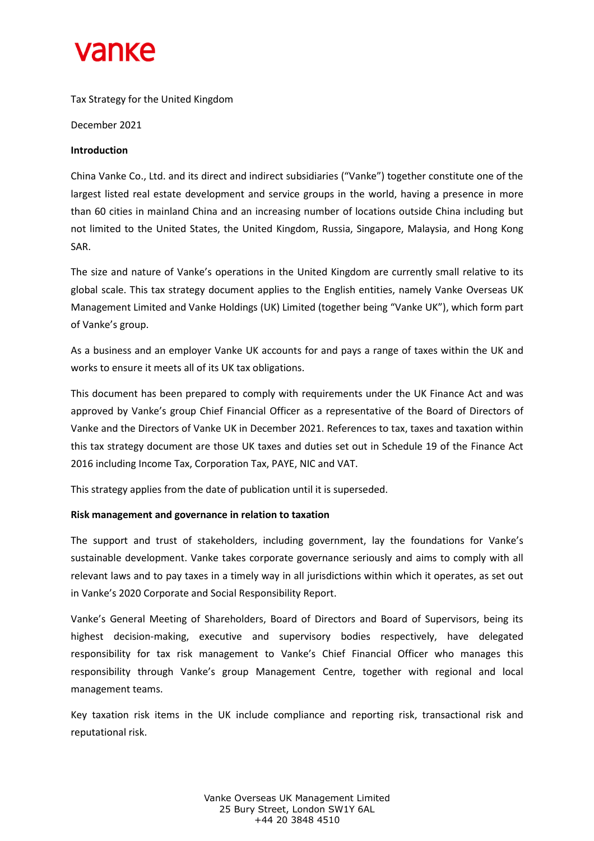## **Vanke**

Tax Strategy for the United Kingdom

December 2021

### **Introduction**

China Vanke Co., Ltd. and its direct and indirect subsidiaries ("Vanke") together constitute one of the largest listed real estate development and service groups in the world, having a presence in more than 60 cities in mainland China and an increasing number of locations outside China including but not limited to the United States, the United Kingdom, Russia, Singapore, Malaysia, and Hong Kong SAR.

The size and nature of Vanke's operations in the United Kingdom are currently small relative to its global scale. This tax strategy document applies to the English entities, namely Vanke Overseas UK Management Limited and Vanke Holdings (UK) Limited (together being "Vanke UK"), which form part of Vanke's group.

As a business and an employer Vanke UK accounts for and pays a range of taxes within the UK and works to ensure it meets all of its UK tax obligations.

This document has been prepared to comply with requirements under the UK Finance Act and was approved by Vanke's group Chief Financial Officer as a representative of the Board of Directors of Vanke and the Directors of Vanke UK in December 2021. References to tax, taxes and taxation within this tax strategy document are those UK taxes and duties set out in Schedule 19 of the Finance Act 2016 including Income Tax, Corporation Tax, PAYE, NIC and VAT.

This strategy applies from the date of publication until it is superseded.

## **Risk management and governance in relation to taxation**

The support and trust of stakeholders, including government, lay the foundations for Vanke's sustainable development. Vanke takes corporate governance seriously and aims to comply with all relevant laws and to pay taxes in a timely way in all jurisdictions within which it operates, as set out in Vanke's 2020 Corporate and Social Responsibility Report.

Vanke's General Meeting of Shareholders, Board of Directors and Board of Supervisors, being its highest decision-making, executive and supervisory bodies respectively, have delegated responsibility for tax risk management to Vanke's Chief Financial Officer who manages this responsibility through Vanke's group Management Centre, together with regional and local management teams.

Key taxation risk items in the UK include compliance and reporting risk, transactional risk and reputational risk.